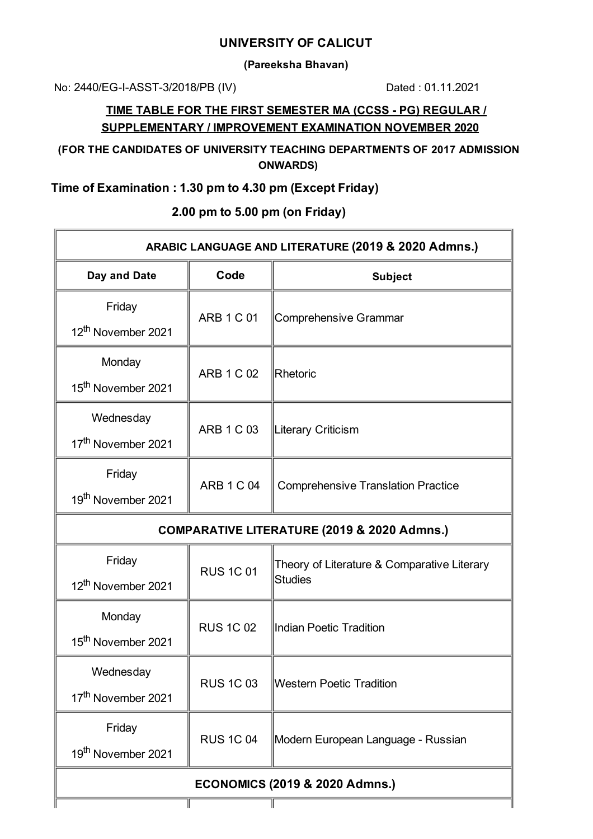### **UNIVERSITY OF CALICUT**

**(Pareeksha Bhavan)**

No: 2440/EG-I-ASST-3/2018/PB (IV) Dated : 01.11.2021

## **TIME TABLE FOR THE FIRST SEMESTER MA (CCSS - PG) REGULAR / SUPPLEMENTARY / IMPROVEMENT EXAMINATION NOVEMBER 2020**

**(FOR THE CANDIDATES OF UNIVERSITY TEACHING DEPARTMENTS OF 2017 ADMISSION ONWARDS)**

# **Time of Examination : 1.30 pm to 4.30 pm (Except Friday)**

| ARABIC LANGUAGE AND LITERATURE (2019 & 2020 Admns.)    |                   |                                                               |  |
|--------------------------------------------------------|-------------------|---------------------------------------------------------------|--|
| Day and Date                                           | Code              | <b>Subject</b>                                                |  |
| Friday<br>12 <sup>th</sup> November 2021               | <b>ARB 1 C 01</b> | Comprehensive Grammar                                         |  |
| Monday<br>15 <sup>th</sup> November 2021               | <b>ARB 1 C 02</b> | Rhetoric                                                      |  |
| Wednesday<br>17 <sup>th</sup> November 2021            | <b>ARB 1 C 03</b> | Literary Criticism                                            |  |
| Friday<br>19 <sup>th</sup> November 2021               | <b>ARB 1 C 04</b> | <b>Comprehensive Translation Practice</b>                     |  |
| <b>COMPARATIVE LITERATURE (2019 &amp; 2020 Admns.)</b> |                   |                                                               |  |
| Friday<br>12 <sup>th</sup> November 2021               | <b>RUS 1C 01</b>  | Theory of Literature & Comparative Literary<br><b>Studies</b> |  |
| Monday<br>15 <sup>th</sup> November 2021               | <b>RUS 1C 02</b>  | Indian Poetic Tradition                                       |  |
| Wednesday<br>17 <sup>th</sup> November 2021            | <b>RUS 1C 03</b>  | <b>Western Poetic Tradition</b>                               |  |
| Friday<br>19 <sup>th</sup> November 2021               | <b>RUS 1C 04</b>  | Modern European Language - Russian                            |  |
| <b>ECONOMICS (2019 &amp; 2020 Admns.)</b>              |                   |                                                               |  |

## **2.00 pm to 5.00 pm (on Friday)**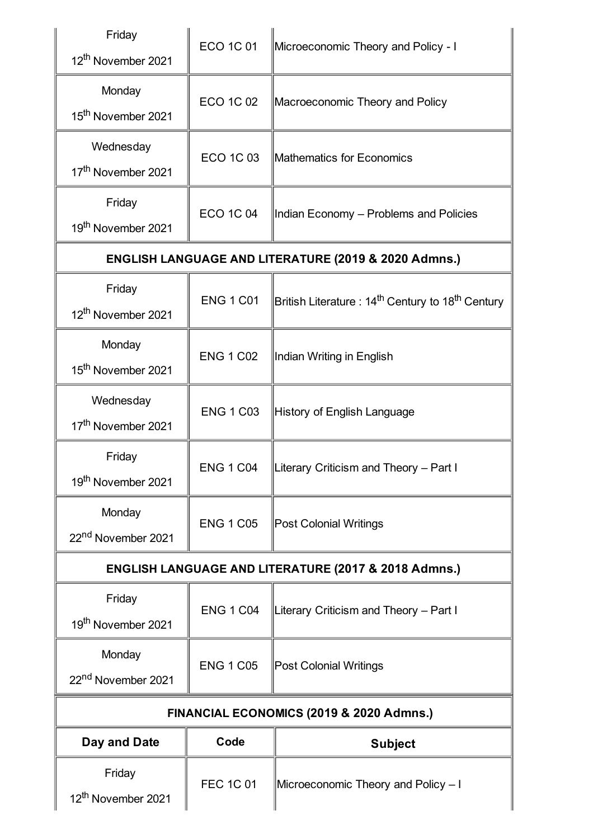| Friday<br>12 <sup>th</sup> November 2021    | <b>ECO 1C 01</b> | Microeconomic Theory and Policy - I                                       |  |
|---------------------------------------------|------------------|---------------------------------------------------------------------------|--|
| Monday<br>15 <sup>th</sup> November 2021    | <b>ECO 1C 02</b> | Macroeconomic Theory and Policy                                           |  |
| Wednesday<br>17 <sup>th</sup> November 2021 | ECO 1C 03        | Mathematics for Economics                                                 |  |
| Friday<br>19 <sup>th</sup> November 2021    | <b>ECO 1C 04</b> | Indian Economy - Problems and Policies                                    |  |
|                                             |                  | <b>ENGLISH LANGUAGE AND LITERATURE (2019 &amp; 2020 Admns.)</b>           |  |
| Friday<br>12 <sup>th</sup> November 2021    | <b>ENG 1 C01</b> | British Literature : 14 <sup>th</sup> Century to 18 <sup>th</sup> Century |  |
| Monday<br>15 <sup>th</sup> November 2021    | <b>ENG 1 C02</b> | Indian Writing in English                                                 |  |
| Wednesday<br>17 <sup>th</sup> November 2021 | <b>ENG 1 C03</b> | History of English Language                                               |  |
| Friday<br>19 <sup>th</sup> November 2021    | <b>ENG 1 C04</b> | Literary Criticism and Theory - Part I                                    |  |
| Monday<br>22 <sup>nd</sup> November 2021    | <b>ENG 1 C05</b> | <b>Post Colonial Writings</b>                                             |  |
|                                             |                  | <b>ENGLISH LANGUAGE AND LITERATURE (2017 &amp; 2018 Admns.)</b>           |  |
| Friday<br>19 <sup>th</sup> November 2021    | <b>ENG 1 C04</b> | Literary Criticism and Theory - Part I                                    |  |
| Monday<br>22 <sup>nd</sup> November 2021    | <b>ENG 1 C05</b> | <b>Post Colonial Writings</b>                                             |  |
| FINANCIAL ECONOMICS (2019 & 2020 Admns.)    |                  |                                                                           |  |
| Day and Date                                | Code             | <b>Subject</b>                                                            |  |
| Friday<br>12 <sup>th</sup> November 2021    | <b>FEC 1C 01</b> | Microeconomic Theory and Policy - I                                       |  |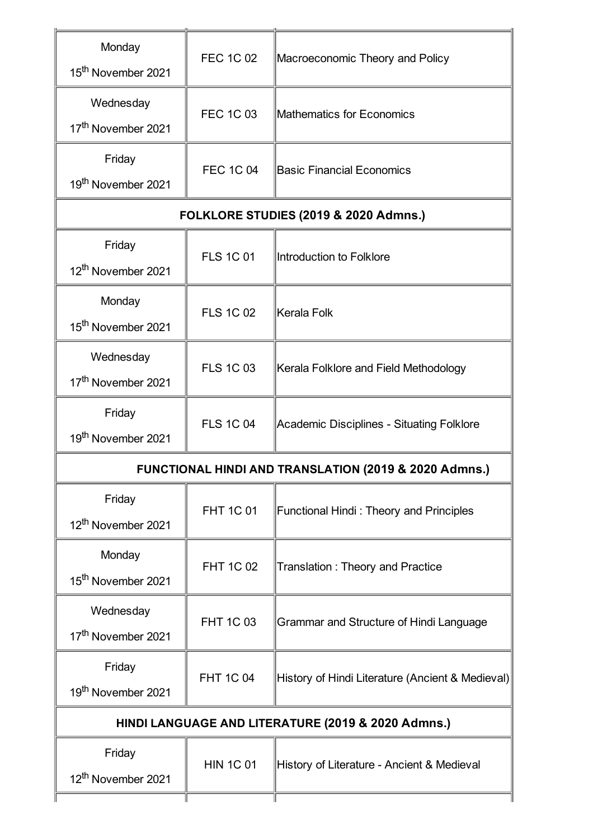| Monday<br>15 <sup>th</sup> November 2021           | <b>FEC 1C 02</b>                                                 | Macroeconomic Theory and Policy                  |  |
|----------------------------------------------------|------------------------------------------------------------------|--------------------------------------------------|--|
| Wednesday<br>17 <sup>th</sup> November 2021        | <b>FEC 1C 03</b>                                                 | Mathematics for Economics                        |  |
| Friday<br>19 <sup>th</sup> November 2021           | <b>FEC 1C 04</b>                                                 | <b>Basic Financial Economics</b>                 |  |
|                                                    |                                                                  | FOLKLORE STUDIES (2019 & 2020 Admns.)            |  |
| Friday<br>12 <sup>th</sup> November 2021           | <b>FLS 1C 01</b>                                                 | Introduction to Folklore                         |  |
| Monday<br>15 <sup>th</sup> November 2021           | <b>FLS 1C 02</b>                                                 | Kerala Folk                                      |  |
| Wednesday<br>17 <sup>th</sup> November 2021        | <b>FLS 1C 03</b>                                                 | Kerala Folklore and Field Methodology            |  |
| Friday<br>19 <sup>th</sup> November 2021           | <b>FLS 1C 04</b>                                                 | Academic Disciplines - Situating Folklore        |  |
|                                                    | <b>FUNCTIONAL HINDI AND TRANSLATION (2019 &amp; 2020 Admns.)</b> |                                                  |  |
| Friday<br>12 <sup>th</sup> November 2021           | <b>FHT 1C 01</b>                                                 | <b>Functional Hindi: Theory and Principles</b>   |  |
| Monday<br>15 <sup>th</sup> November 2021           | <b>FHT 1C 02</b>                                                 | <b>Translation: Theory and Practice</b>          |  |
| Wednesday<br>17 <sup>th</sup> November 2021        | <b>FHT 1C 03</b>                                                 | Grammar and Structure of Hindi Language          |  |
| Friday<br>19 <sup>th</sup> November 2021           | <b>FHT 1C 04</b>                                                 | History of Hindi Literature (Ancient & Medieval) |  |
| HINDI LANGUAGE AND LITERATURE (2019 & 2020 Admns.) |                                                                  |                                                  |  |
| Friday<br>12 <sup>th</sup> November 2021           | <b>HIN 1C 01</b>                                                 | History of Literature - Ancient & Medieval       |  |
|                                                    |                                                                  |                                                  |  |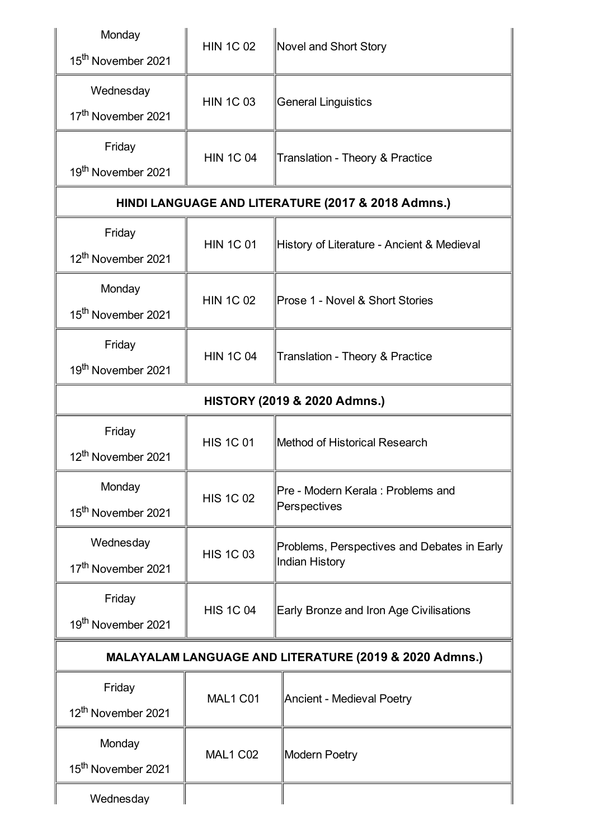| Monday<br>15 <sup>th</sup> November 2021               | <b>HIN 1C 02</b>                                   | <b>Novel and Short Story</b>                                  |  |  |
|--------------------------------------------------------|----------------------------------------------------|---------------------------------------------------------------|--|--|
| Wednesday<br>17 <sup>th</sup> November 2021            | <b>HIN 1C 03</b>                                   | <b>General Linguistics</b>                                    |  |  |
| Friday<br>19 <sup>th</sup> November 2021               | <b>HIN 1C 04</b>                                   | <b>Translation - Theory &amp; Practice</b>                    |  |  |
|                                                        | HINDI LANGUAGE AND LITERATURE (2017 & 2018 Admns.) |                                                               |  |  |
| Friday<br>12 <sup>th</sup> November 2021               | <b>HIN 1C 01</b>                                   | History of Literature - Ancient & Medieval                    |  |  |
| Monday<br>15 <sup>th</sup> November 2021               | <b>HIN 1C 02</b>                                   | Prose 1 - Novel & Short Stories                               |  |  |
| Friday<br>19 <sup>th</sup> November 2021               | <b>HIN 1C 04</b>                                   | Translation - Theory & Practice                               |  |  |
| <b>HISTORY (2019 &amp; 2020 Admns.)</b>                |                                                    |                                                               |  |  |
| Friday<br>12 <sup>th</sup> November 2021               | <b>HIS 1C 01</b>                                   | Method of Historical Research                                 |  |  |
| Monday<br>15 <sup>th</sup> November 2021               | <b>HIS 1C 02</b>                                   | Pre - Modern Kerala : Problems and<br>Perspectives            |  |  |
| Wednesday<br>17 <sup>th</sup> November 2021            | <b>HIS 1C 03</b>                                   | Problems, Perspectives and Debates in Early<br>Indian History |  |  |
| Friday<br>19 <sup>th</sup> November 2021               | <b>HIS 1C 04</b>                                   | Early Bronze and Iron Age Civilisations                       |  |  |
| MALAYALAM LANGUAGE AND LITERATURE (2019 & 2020 Admns.) |                                                    |                                                               |  |  |
| Friday<br>12 <sup>th</sup> November 2021               | MAL1 C01                                           | Ancient - Medieval Poetry                                     |  |  |
| Monday<br>15 <sup>th</sup> November 2021               | <b>MAL1 C02</b>                                    | Modern Poetry                                                 |  |  |
| Wednesday                                              |                                                    |                                                               |  |  |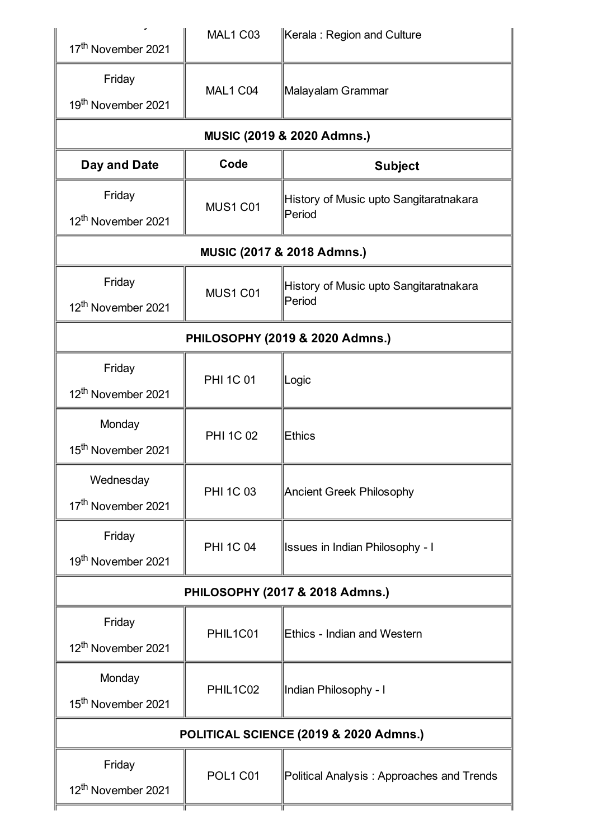| 17 <sup>th</sup> November 2021              | <b>MAL1 C03</b>            | Kerala: Region and Culture                       |  |  |
|---------------------------------------------|----------------------------|--------------------------------------------------|--|--|
| Friday<br>19 <sup>th</sup> November 2021    | MAL1 C04                   | Malayalam Grammar                                |  |  |
|                                             | MUSIC (2019 & 2020 Admns.) |                                                  |  |  |
| Day and Date                                | Code                       | <b>Subject</b>                                   |  |  |
| Friday<br>12 <sup>th</sup> November 2021    | <b>MUS1 C01</b>            | History of Music upto Sangitaratnakara<br>Period |  |  |
| MUSIC (2017 & 2018 Admns.)                  |                            |                                                  |  |  |
| Friday<br>12 <sup>th</sup> November 2021    | <b>MUS1 C01</b>            | History of Music upto Sangitaratnakara<br>Period |  |  |
| PHILOSOPHY (2019 & 2020 Admns.)             |                            |                                                  |  |  |
| Friday<br>12 <sup>th</sup> November 2021    | <b>PHI 1C 01</b>           | Logic                                            |  |  |
| Monday<br>15 <sup>th</sup> November 2021    | <b>PHI 1C 02</b>           | <b>Ethics</b>                                    |  |  |
| Wednesday<br>17 <sup>th</sup> November 2021 | <b>PHI 1C 03</b>           | <b>Ancient Greek Philosophy</b>                  |  |  |
| Friday<br>19 <sup>th</sup> November 2021    | <b>PHI 1C 04</b>           | <b>Issues in Indian Philosophy - I</b>           |  |  |
|                                             |                            | PHILOSOPHY (2017 & 2018 Admns.)                  |  |  |
| Friday<br>12 <sup>th</sup> November 2021    | PHIL1C01                   | Ethics - Indian and Western                      |  |  |
| Monday<br>15 <sup>th</sup> November 2021    | PHIL1C02                   | Indian Philosophy - I                            |  |  |
| POLITICAL SCIENCE (2019 & 2020 Admns.)      |                            |                                                  |  |  |
| Friday<br>12 <sup>th</sup> November 2021    | <b>POL1 C01</b>            | Political Analysis: Approaches and Trends        |  |  |
|                                             |                            |                                                  |  |  |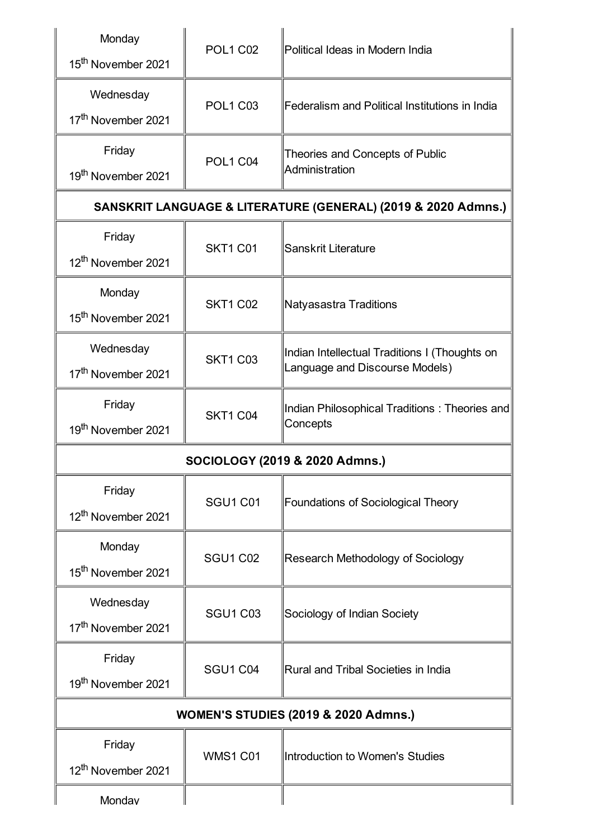| Monday<br>15 <sup>th</sup> November 2021        | <b>POL1 C02</b> | Political Ideas in Modern India                                                 |  |
|-------------------------------------------------|-----------------|---------------------------------------------------------------------------------|--|
| Wednesday<br>17 <sup>th</sup> November 2021     | <b>POL1 C03</b> | Federalism and Political Institutions in India                                  |  |
| Friday<br>19 <sup>th</sup> November 2021        | <b>POL1 C04</b> | Theories and Concepts of Public<br>Administration                               |  |
|                                                 |                 | SANSKRIT LANGUAGE & LITERATURE (GENERAL) (2019 & 2020 Admns.)                   |  |
| Friday<br>12 <sup>th</sup> November 2021        | <b>SKT1 C01</b> | Sanskrit Literature                                                             |  |
| Monday<br>15 <sup>th</sup> November 2021        | <b>SKT1 C02</b> | Natyasastra Traditions                                                          |  |
| Wednesday<br>17 <sup>th</sup> November 2021     | <b>SKT1 C03</b> | Indian Intellectual Traditions I (Thoughts on<br>Language and Discourse Models) |  |
| Friday<br>19 <sup>th</sup> November 2021        | <b>SKT1 C04</b> | Indian Philosophical Traditions: Theories and<br>Concepts                       |  |
| SOCIOLOGY (2019 & 2020 Admns.)                  |                 |                                                                                 |  |
| Friday<br>12 <sup>th</sup> November 2021        | <b>SGU1 C01</b> | Foundations of Sociological Theory                                              |  |
| Monday<br>15 <sup>th</sup> November 2021        | <b>SGU1 C02</b> | Research Methodology of Sociology                                               |  |
| Wednesday<br>17 <sup>th</sup> November 2021     | <b>SGU1 C03</b> | Sociology of Indian Society                                                     |  |
| Friday<br>19 <sup>th</sup> November 2021        | <b>SGU1 C04</b> | Rural and Tribal Societies in India                                             |  |
| <b>WOMEN'S STUDIES (2019 &amp; 2020 Admns.)</b> |                 |                                                                                 |  |
| Friday<br>12 <sup>th</sup> November 2021        | <b>WMS1 C01</b> | Introduction to Women's Studies                                                 |  |
| Monday                                          |                 |                                                                                 |  |